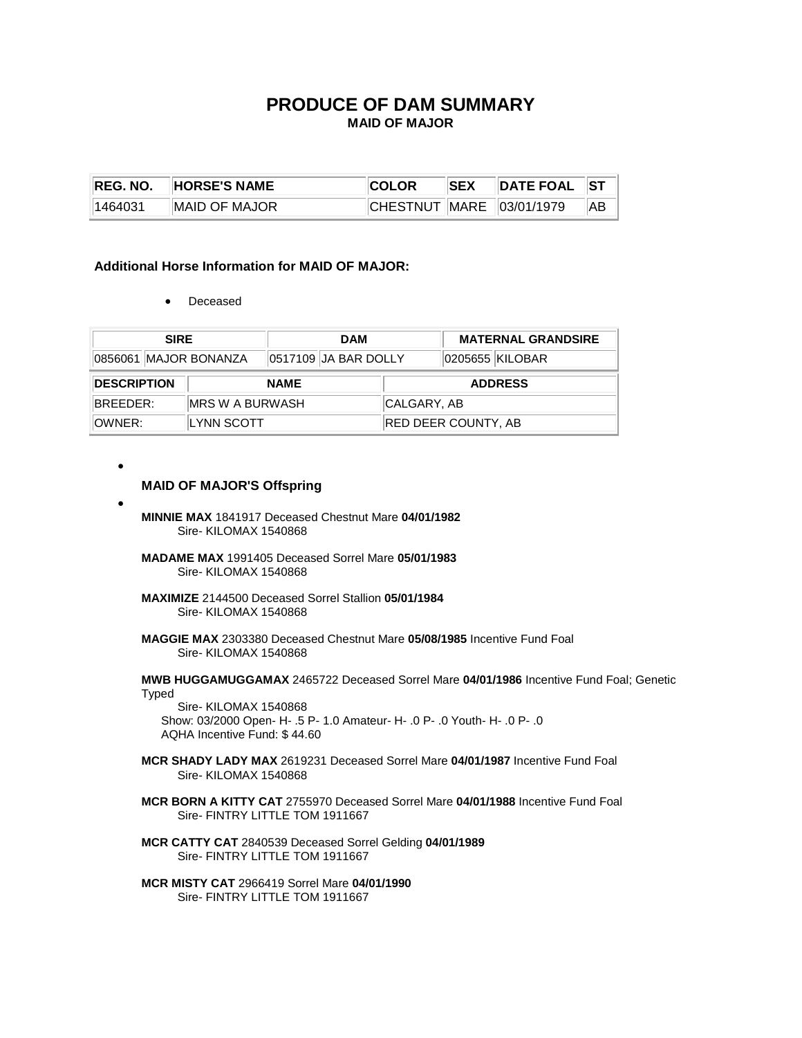# **PRODUCE OF DAM SUMMARY MAID OF MAJOR**

| <b>IREG. NO.</b> | <b>HORSE'S NAME</b> | <b>ICOLOR</b>                    | <b>ISEX</b> | $\parallel$ DATE FOAL $\parallel$ ST |     |
|------------------|---------------------|----------------------------------|-------------|--------------------------------------|-----|
| 1464031          | IMAID OF MAJOR      | $ CHESTNUT $ MARE $ 03/01/1979 $ |             |                                      | AB. |

## **Additional Horse Information for MAID OF MAJOR:**

• Deceased

| <b>SIRE</b>           |                         | <b>DAM</b>           |                     | <b>MATERNAL GRANDSIRE</b> |  |
|-----------------------|-------------------------|----------------------|---------------------|---------------------------|--|
| 0856061 MAJOR BONANZA |                         | 0517109 JA BAR DOLLY |                     | 0205655 KILOBAR           |  |
| <b>DESCRIPTION</b>    |                         | <b>NAME</b>          |                     | <b>ADDRESS</b>            |  |
| BREFDFR:              | <b>IMRS W A BURWASH</b> |                      | CALGARY, AB         |                           |  |
| ∣OWNER:               | <b>LYNN SCOTT</b>       |                      | RED DEER COUNTY, AB |                           |  |

•

### **MAID OF MAJOR'S Offspring**

- **MINNIE MAX** 1841917 Deceased Chestnut Mare **04/01/1982** Sire- KILOMAX 1540868
	- **MADAME MAX** 1991405 Deceased Sorrel Mare **05/01/1983** Sire- KILOMAX 1540868
	- **MAXIMIZE** 2144500 Deceased Sorrel Stallion **05/01/1984** Sire- KILOMAX 1540868
	- **MAGGIE MAX** 2303380 Deceased Chestnut Mare **05/08/1985** Incentive Fund Foal Sire- KILOMAX 1540868

## **MWB HUGGAMUGGAMAX** 2465722 Deceased Sorrel Mare **04/01/1986** Incentive Fund Foal; Genetic Typed

 Sire- KILOMAX 1540868 Show: 03/2000 Open- H- .5 P- 1.0 Amateur- H- .0 P- .0 Youth- H- .0 P- .0 AQHA Incentive Fund: \$ 44.60

- **MCR SHADY LADY MAX** 2619231 Deceased Sorrel Mare **04/01/1987** Incentive Fund Foal Sire- KILOMAX 1540868
- **MCR BORN A KITTY CAT** 2755970 Deceased Sorrel Mare **04/01/1988** Incentive Fund Foal Sire- FINTRY LITTLE TOM 1911667
- **MCR CATTY CAT** 2840539 Deceased Sorrel Gelding **04/01/1989** Sire- FINTRY LITTLE TOM 1911667
- **MCR MISTY CAT** 2966419 Sorrel Mare **04/01/1990** Sire- FINTRY LITTLE TOM 1911667